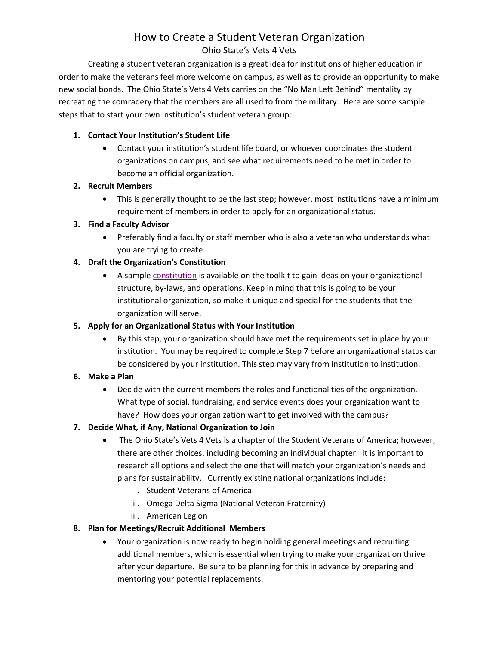# How to Create a Student Veteran Organization

### Ohio State's Vets 4 Vets

Creating a student veteran organization is a great idea for institutions of higher education in order to make the veterans feel more welcome on campus, as well as to provide an opportunity to make new social bonds. The Ohio State's Vets 4 Vets carries on the "No Man Left Behind" mentality by recreating the comradery that the members are all used to from the military. Here are some sample steps that to start your own institution's student veteran group:

#### **1. Contact Your Institution's Student Life**

 Contact your institution's student life board, or whoever coordinates the student organizations on campus, and see what requirements need to be met in order to become an official organization.

#### **2. Recruit Members**

 This is generally thought to be the last step; however, most institutions have a minimum requirement of members in order to apply for an organizational status.

#### **3. Find a Faculty Advisor**

 Preferably find a faculty or staff member who is also a veteran who understands what you are trying to create.

# **4. Draft the Organization's Constitution**

 A sampl[e constitution](https://www.ohiohighered.org/sites/ohiohighered.org/files/uploads/military/Toolkit/Constitution.pdf) is available on the toolkit to gain ideas on your organizational structure, by-laws, and operations. Keep in mind that this is going to be your institutional organization, so make it unique and special for the students that the organization will serve.

#### **5. Apply for an Organizational Status with Your Institution**

 By this step, your organization should have met the requirements set in place by your institution. You may be required to complete Step 7 before an organizational status can be considered by your institution. This step may vary from institution to institution.

# **6. Make a Plan**

 Decide with the current members the roles and functionalities of the organization. What type of social, fundraising, and service events does your organization want to have? How does your organization want to get involved with the campus?

# **7. Decide What, if Any, National Organization to Join**

- The Ohio State's Vets 4 Vets is a chapter of the Student Veterans of America; however, there are other choices, including becoming an individual chapter. It is important to research all options and select the one that will match your organization's needs and plans for sustainability. Currently existing national organizations include:
	- i. Student Veterans of America
	- ii. Omega Delta Sigma (National Veteran Fraternity)
	- iii. American Legion

# **8. Plan for Meetings/Recruit Additional Members**

 Your organization is now ready to begin holding general meetings and recruiting additional members, which is essential when trying to make your organization thrive after your departure. Be sure to be planning for this in advance by preparing and mentoring your potential replacements.